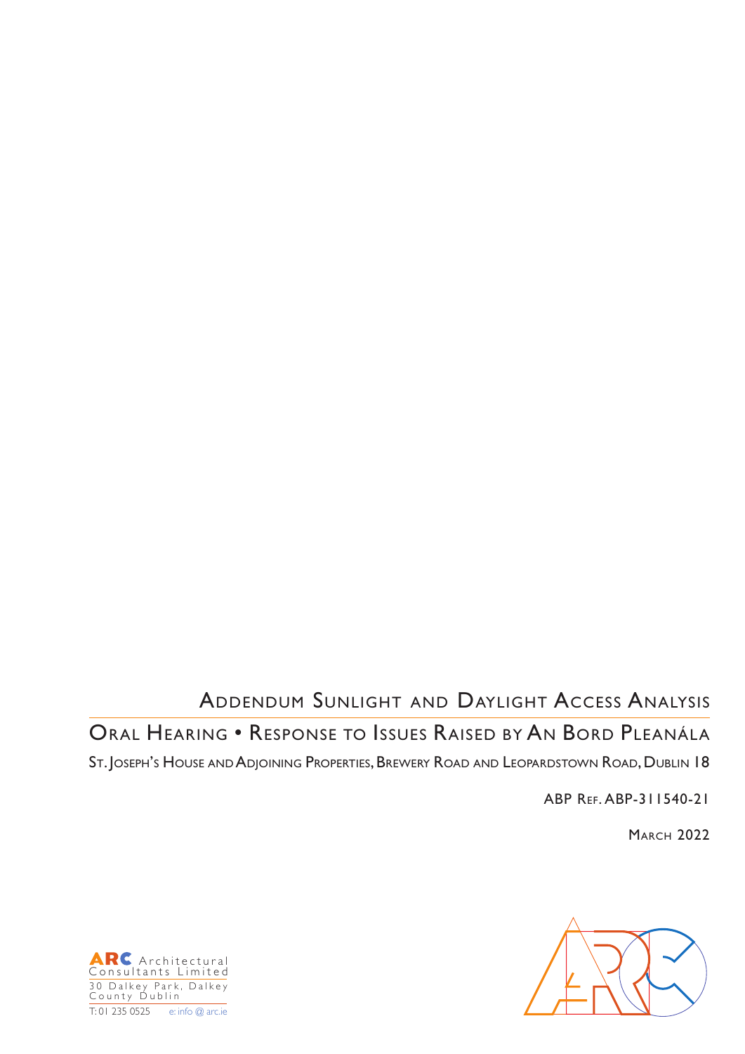# Addendum Sunlight and Daylight Access Analysis

## Oral Hearing • Response to Issues Raised by An Bord Pleanála

St. Joseph's House and Adjoining Properties, Brewery Road and Leopardstown Road, Dublin 18

ABP Ref. ABP-311540-21

**MARCH 2022** 



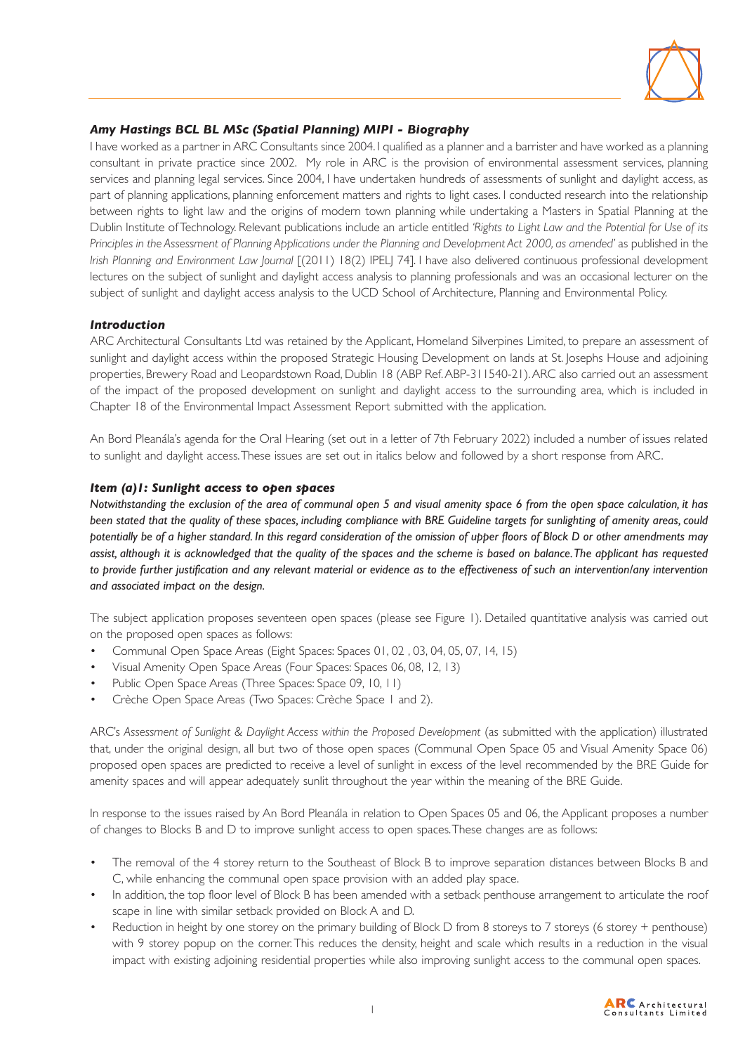

### *Amy Hastings BCL BL MSc (Spatial Planning) MIPI - Biography*

I have worked as a partner in ARC Consultants since 2004. I qualified as a planner and a barrister and have worked as a planning consultant in private practice since 2002. My role in ARC is the provision of environmental assessment services, planning services and planning legal services. Since 2004, I have undertaken hundreds of assessments of sunlight and daylight access, as part of planning applications, planning enforcement matters and rights to light cases. I conducted research into the relationship between rights to light law and the origins of modern town planning while undertaking a Masters in Spatial Planning at the Dublin Institute of Technology. Relevant publications include an article entitled *'Rights to Light Law and the Potential for Use of its Principles in the Assessment of Planning Applications under the Planning and Development Act 2000, as amended'* as published in the *Irish Planning and Environment Law Journal* [(2011) 18(2) IPEL] 74]. I have also delivered continuous professional development lectures on the subject of sunlight and daylight access analysis to planning professionals and was an occasional lecturer on the subject of sunlight and daylight access analysis to the UCD School of Architecture, Planning and Environmental Policy.

#### *Introduction*

ARC Architectural Consultants Ltd was retained by the Applicant, Homeland Silverpines Limited, to prepare an assessment of sunlight and daylight access within the proposed Strategic Housing Development on lands at St. Josephs House and adjoining properties, Brewery Road and Leopardstown Road, Dublin 18 (ABP Ref. ABP-311540-21). ARC also carried out an assessment of the impact of the proposed development on sunlight and daylight access to the surrounding area, which is included in Chapter 18 of the Environmental Impact Assessment Report submitted with the application.

An Bord Pleanála's agenda for the Oral Hearing (set out in a letter of 7th February 2022) included a number of issues related to sunlight and daylight access. These issues are set out in italics below and followed by a short response from ARC.

#### *Item (a)1: Sunlight access to open spaces*

*Notwithstanding the exclusion of the area of communal open 5 and visual amenity space 6 from the open space calculation, it has been stated that the quality of these spaces, including compliance with BRE Guideline targets for sunlighting of amenity areas, could potentially be of a higher standard. In this regard consideration of the omission of upper floors of Block D or other amendments may assist, although it is acknowledged that the quality of the spaces and the scheme is based on balance. The applicant has requested to provide further justification and any relevant material or evidence as to the effectiveness of such an intervention/any intervention and associated impact on the design.*

The subject application proposes seventeen open spaces (please see Figure 1). Detailed quantitative analysis was carried out on the proposed open spaces as follows:

- Communal Open Space Areas (Eight Spaces: Spaces 01, 02 , 03, 04, 05, 07, 14, 15)
- Visual Amenity Open Space Areas (Four Spaces: Spaces 06, 08, 12, 13)
- Public Open Space Areas (Three Spaces: Space 09, 10, 11)
- Crèche Open Space Areas (Two Spaces: Crèche Space 1 and 2).

ARC's Assessment of Sunlight & Daylight Access within the Proposed Development (as submitted with the application) illustrated that, under the original design, all but two of those open spaces (Communal Open Space 05 and Visual Amenity Space 06) proposed open spaces are predicted to receive a level of sunlight in excess of the level recommended by the BRE Guide for amenity spaces and will appear adequately sunlit throughout the year within the meaning of the BRE Guide.

In response to the issues raised by An Bord Pleanála in relation to Open Spaces 05 and 06, the Applicant proposes a number of changes to Blocks B and D to improve sunlight access to open spaces. These changes are as follows:

- The removal of the 4 storey return to the Southeast of Block B to improve separation distances between Blocks B and C, while enhancing the communal open space provision with an added play space.
- In addition, the top floor level of Block B has been amended with a setback penthouse arrangement to articulate the roof scape in line with similar setback provided on Block A and D.
- Reduction in height by one storey on the primary building of Block D from 8 storeys to 7 storeys (6 storey + penthouse) with 9 storey popup on the corner. This reduces the density, height and scale which results in a reduction in the visual impact with existing adjoining residential properties while also improving sunlight access to the communal open spaces.

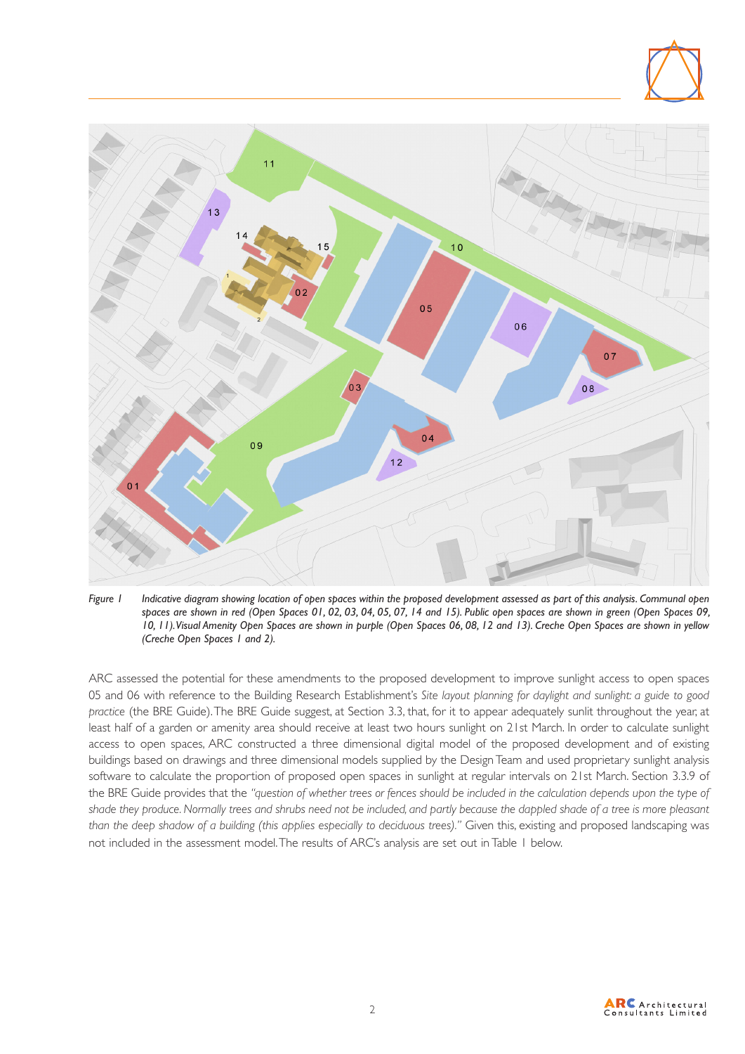

*Figure 1 Indicative diagram showing location of open spaces within the proposed development assessed as part of this analysis. Communal open spaces are shown in red (Open Spaces 01, 02, 03, 04, 05, 07, 14 and 15). Public open spaces are shown in green (Open Spaces 09, 10, 11). Visual Amenity Open Spaces are shown in purple (Open Spaces 06, 08, 12 and 13). Creche Open Spaces are shown in yellow (Creche Open Spaces 1 and 2).*

ARC assessed the potential for these amendments to the proposed development to improve sunlight access to open spaces 05 and 06 with reference to the Building Research Establishment's *Site layout planning for daylight and sunlight: a guide to good practice* (the BRE Guide). The BRE Guide suggest, at Section 3.3, that, for it to appear adequately sunlit throughout the year, at least half of a garden or amenity area should receive at least two hours sunlight on 21st March. In order to calculate sunlight access to open spaces, ARC constructed a three dimensional digital model of the proposed development and of existing buildings based on drawings and three dimensional models supplied by the Design Team and used proprietary sunlight analysis software to calculate the proportion of proposed open spaces in sunlight at regular intervals on 21st March. Section 3.3.9 of the BRE Guide provides that the *"question of whether trees or fences should be included in the calculation depends upon the type of shade they produce. Normally trees and shrubs need not be included, and partly because the dappled shade of a tree is more pleasant than the deep shadow of a building (this applies especially to deciduous trees)." Given this, existing and proposed landscaping was* not included in the assessment model. The results of ARC's analysis are set out in Table 1 below.

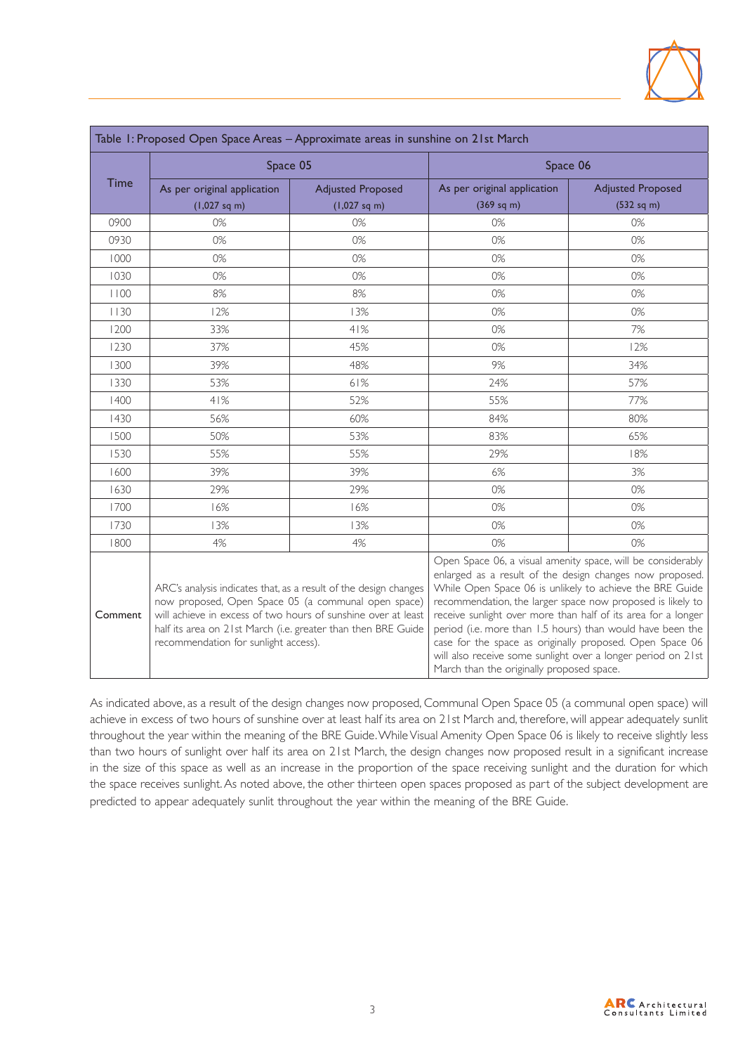

| Table 1: Proposed Open Space Areas - Approximate areas in sunshine on 21st March |                                                                                                                                                                                                                                                                                                   |                          |                                                                                                                                                                                                                                                                                                                                                                                                                                                                                                                                                           |                          |  |  |  |  |  |
|----------------------------------------------------------------------------------|---------------------------------------------------------------------------------------------------------------------------------------------------------------------------------------------------------------------------------------------------------------------------------------------------|--------------------------|-----------------------------------------------------------------------------------------------------------------------------------------------------------------------------------------------------------------------------------------------------------------------------------------------------------------------------------------------------------------------------------------------------------------------------------------------------------------------------------------------------------------------------------------------------------|--------------------------|--|--|--|--|--|
| <b>Time</b>                                                                      | Space 05                                                                                                                                                                                                                                                                                          |                          | Space 06                                                                                                                                                                                                                                                                                                                                                                                                                                                                                                                                                  |                          |  |  |  |  |  |
|                                                                                  | As per original application                                                                                                                                                                                                                                                                       | <b>Adjusted Proposed</b> | As per original application                                                                                                                                                                                                                                                                                                                                                                                                                                                                                                                               | <b>Adjusted Proposed</b> |  |  |  |  |  |
|                                                                                  | $(1,027$ sq m)                                                                                                                                                                                                                                                                                    | $(1,027 \text{ sq m})$   | (369 sq m)                                                                                                                                                                                                                                                                                                                                                                                                                                                                                                                                                | (532 sq m)               |  |  |  |  |  |
| 0900                                                                             | 0%                                                                                                                                                                                                                                                                                                | 0%                       | 0%                                                                                                                                                                                                                                                                                                                                                                                                                                                                                                                                                        | 0%                       |  |  |  |  |  |
| 0930                                                                             | 0%                                                                                                                                                                                                                                                                                                | 0%                       | 0%                                                                                                                                                                                                                                                                                                                                                                                                                                                                                                                                                        | 0%                       |  |  |  |  |  |
| 1000                                                                             | 0%                                                                                                                                                                                                                                                                                                | 0%                       | 0%                                                                                                                                                                                                                                                                                                                                                                                                                                                                                                                                                        | 0%                       |  |  |  |  |  |
| 1030                                                                             | 0%                                                                                                                                                                                                                                                                                                | 0%                       | 0%                                                                                                                                                                                                                                                                                                                                                                                                                                                                                                                                                        | 0%                       |  |  |  |  |  |
| 1100                                                                             | 8%                                                                                                                                                                                                                                                                                                | 8%                       | 0%                                                                                                                                                                                                                                                                                                                                                                                                                                                                                                                                                        | 0%                       |  |  |  |  |  |
| 1130                                                                             | 12%                                                                                                                                                                                                                                                                                               | 13%                      | 0%                                                                                                                                                                                                                                                                                                                                                                                                                                                                                                                                                        | 0%                       |  |  |  |  |  |
| 1200                                                                             | 33%                                                                                                                                                                                                                                                                                               | 41%                      | 0%                                                                                                                                                                                                                                                                                                                                                                                                                                                                                                                                                        | 7%                       |  |  |  |  |  |
| 1230                                                                             | 37%                                                                                                                                                                                                                                                                                               | 45%                      | 0%                                                                                                                                                                                                                                                                                                                                                                                                                                                                                                                                                        | 12%                      |  |  |  |  |  |
| 1300                                                                             | 39%                                                                                                                                                                                                                                                                                               | 48%                      | 9%                                                                                                                                                                                                                                                                                                                                                                                                                                                                                                                                                        | 34%                      |  |  |  |  |  |
| 1330                                                                             | 53%                                                                                                                                                                                                                                                                                               | 61%                      | 24%                                                                                                                                                                                                                                                                                                                                                                                                                                                                                                                                                       | 57%                      |  |  |  |  |  |
| 1400                                                                             | 41%                                                                                                                                                                                                                                                                                               | 52%                      | 55%                                                                                                                                                                                                                                                                                                                                                                                                                                                                                                                                                       | 77%                      |  |  |  |  |  |
| 1430                                                                             | 56%                                                                                                                                                                                                                                                                                               | 60%                      | 84%                                                                                                                                                                                                                                                                                                                                                                                                                                                                                                                                                       | 80%                      |  |  |  |  |  |
| 1500                                                                             | 50%                                                                                                                                                                                                                                                                                               | 53%                      | 83%                                                                                                                                                                                                                                                                                                                                                                                                                                                                                                                                                       | 65%                      |  |  |  |  |  |
| 1530                                                                             | 55%                                                                                                                                                                                                                                                                                               | 55%                      | 29%                                                                                                                                                                                                                                                                                                                                                                                                                                                                                                                                                       | 18%                      |  |  |  |  |  |
| 1600                                                                             | 39%                                                                                                                                                                                                                                                                                               | 39%                      | 6%                                                                                                                                                                                                                                                                                                                                                                                                                                                                                                                                                        | 3%                       |  |  |  |  |  |
| 1630                                                                             | 29%                                                                                                                                                                                                                                                                                               | 29%                      | 0%                                                                                                                                                                                                                                                                                                                                                                                                                                                                                                                                                        | 0%                       |  |  |  |  |  |
| 1700                                                                             | 16%                                                                                                                                                                                                                                                                                               | 16%                      | 0%                                                                                                                                                                                                                                                                                                                                                                                                                                                                                                                                                        | 0%                       |  |  |  |  |  |
| 1730                                                                             | 13%                                                                                                                                                                                                                                                                                               | 13%                      | 0%                                                                                                                                                                                                                                                                                                                                                                                                                                                                                                                                                        | 0%                       |  |  |  |  |  |
| 1800                                                                             | 4%                                                                                                                                                                                                                                                                                                | 4%                       | 0%                                                                                                                                                                                                                                                                                                                                                                                                                                                                                                                                                        | 0%                       |  |  |  |  |  |
| Comment                                                                          | ARC's analysis indicates that, as a result of the design changes<br>now proposed, Open Space 05 (a communal open space)<br>will achieve in excess of two hours of sunshine over at least<br>half its area on 21st March (i.e. greater than then BRE Guide<br>recommendation for sunlight access). |                          | Open Space 06, a visual amenity space, will be considerably<br>enlarged as a result of the design changes now proposed.<br>While Open Space 06 is unlikely to achieve the BRE Guide<br>recommendation, the larger space now proposed is likely to<br>receive sunlight over more than half of its area for a longer<br>period (i.e. more than 1.5 hours) than would have been the<br>case for the space as originally proposed. Open Space 06<br>will also receive some sunlight over a longer period on 21st<br>March than the originally proposed space. |                          |  |  |  |  |  |

As indicated above, as a result of the design changes now proposed, Communal Open Space 05 (a communal open space) will achieve in excess of two hours of sunshine over at least half its area on 21st March and, therefore, will appear adequately sunlit throughout the year within the meaning of the BRE Guide. While Visual Amenity Open Space 06 is likely to receive slightly less than two hours of sunlight over half its area on 21st March, the design changes now proposed result in a significant increase in the size of this space as well as an increase in the proportion of the space receiving sunlight and the duration for which the space receives sunlight. As noted above, the other thirteen open spaces proposed as part of the subject development are predicted to appear adequately sunlit throughout the year within the meaning of the BRE Guide.

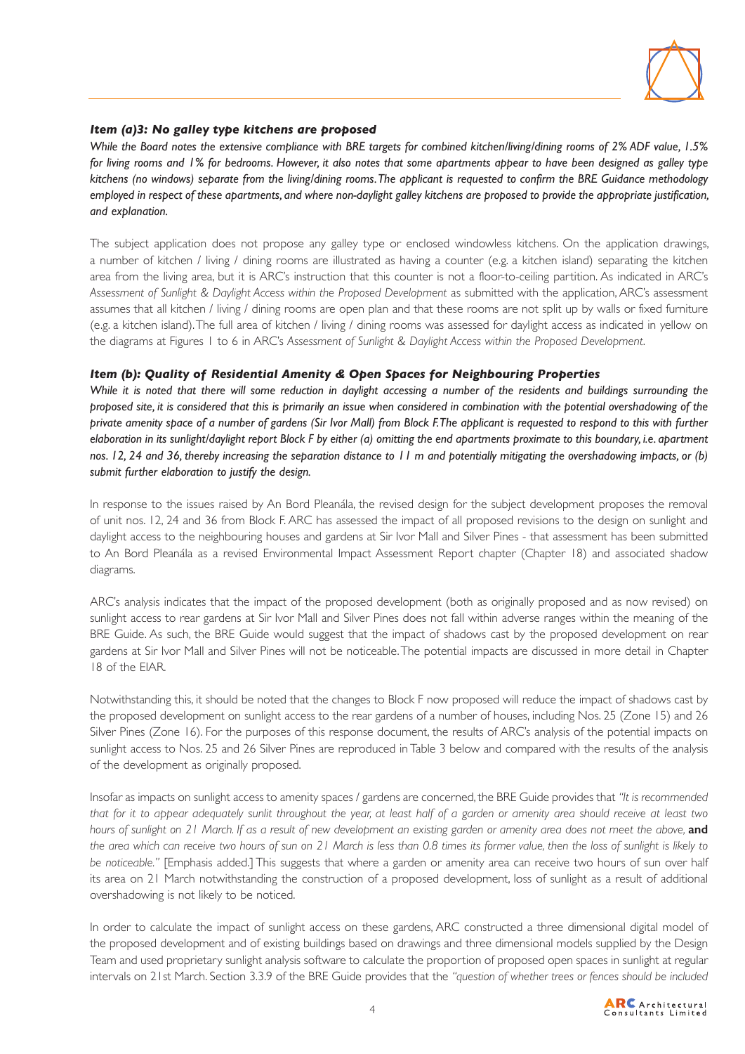

#### *Item (a)3: No galley type kitchens are proposed*

*While the Board notes the extensive compliance with BRE targets for combined kitchen/living/dining rooms of 2% ADF value, 1.5% for living rooms and 1% for bedrooms. However, it also notes that some apartments appear to have been designed as galley type kitchens (no windows) separate from the living/dining rooms. The applicant is requested to confirm the BRE Guidance methodology employed in respect of these apartments, and where non-daylight galley kitchens are proposed to provide the appropriate justification, and explanation.*

The subject application does not propose any galley type or enclosed windowless kitchens. On the application drawings, a number of kitchen / living / dining rooms are illustrated as having a counter (e.g. a kitchen island) separating the kitchen area from the living area, but it is ARC's instruction that this counter is not a floor-to-ceiling partition. As indicated in ARC's *Assessment of Sunlight & Daylight Access within the Proposed Development* as submitted with the application, ARC's assessment assumes that all kitchen / living / dining rooms are open plan and that these rooms are not split up by walls or fixed furniture (e.g. a kitchen island). The full area of kitchen / living / dining rooms was assessed for daylight access as indicated in yellow on the diagrams at Figures 1 to 6 in ARC's *Assessment of Sunlight & Daylight Access within the Proposed Development*.

#### *Item (b): Quality of Residential Amenity & Open Spaces for Neighbouring Properties*

While it is noted that there will some reduction in daylight accessing a number of the residents and buildings surrounding the *proposed site, it is considered that this is primarily an issue when considered in combination with the potential overshadowing of the private amenity space of a number of gardens (Sir Ivor Mall) from Block F. The applicant is requested to respond to this with further elaboration in its sunlight/daylight report Block F by either (a) omitting the end apartments proximate to this boundary, i.e. apartment nos. 12, 24 and 36, thereby increasing the separation distance to 11 m and potentially mitigating the overshadowing impacts, or (b) submit further elaboration to justify the design.*

In response to the issues raised by An Bord Pleanála, the revised design for the subject development proposes the removal of unit nos. 12, 24 and 36 from Block F. ARC has assessed the impact of all proposed revisions to the design on sunlight and daylight access to the neighbouring houses and gardens at Sir Ivor Mall and Silver Pines - that assessment has been submitted to An Bord Pleanála as a revised Environmental Impact Assessment Report chapter (Chapter 18) and associated shadow diagrams.

ARC's analysis indicates that the impact of the proposed development (both as originally proposed and as now revised) on sunlight access to rear gardens at Sir Ivor Mall and Silver Pines does not fall within adverse ranges within the meaning of the BRE Guide. As such, the BRE Guide would suggest that the impact of shadows cast by the proposed development on rear gardens at Sir Ivor Mall and Silver Pines will not be noticeable. The potential impacts are discussed in more detail in Chapter 18 of the EIAR.

Notwithstanding this, it should be noted that the changes to Block F now proposed will reduce the impact of shadows cast by the proposed development on sunlight access to the rear gardens of a number of houses, including Nos. 25 (Zone 15) and 26 Silver Pines (Zone 16). For the purposes of this response document, the results of ARC's analysis of the potential impacts on sunlight access to Nos. 25 and 26 Silver Pines are reproduced in Table 3 below and compared with the results of the analysis of the development as originally proposed.

Insofar as impacts on sunlight access to amenity spaces / gardens are concerned, the BRE Guide provides that *"It is recommended that for it to appear adequately sunlit throughout the year, at least half of a garden or amenity area should receive at least two hours of sunlight on 21 March. If as a result of new development an existing garden or amenity area does not meet the above, and the area which can receive two hours of sun on 21 March is less than 0.8 times its former value, then the loss of sunlight is likely to be noticeable."* [Emphasis added.] This suggests that where a garden or amenity area can receive two hours of sun over half its area on 21 March notwithstanding the construction of a proposed development, loss of sunlight as a result of additional overshadowing is not likely to be noticed.

In order to calculate the impact of sunlight access on these gardens, ARC constructed a three dimensional digital model of the proposed development and of existing buildings based on drawings and three dimensional models supplied by the Design Team and used proprietary sunlight analysis software to calculate the proportion of proposed open spaces in sunlight at regular intervals on 21st March. Section 3.3.9 of the BRE Guide provides that the *"question of whether trees or fences should be included* 

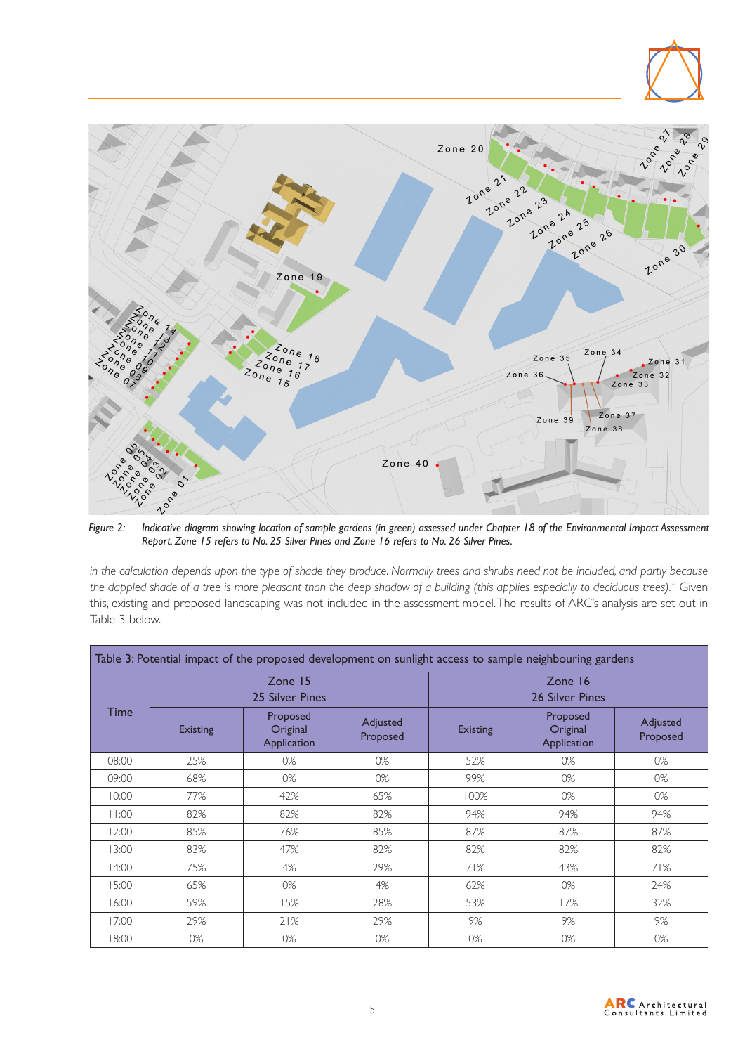

*Figure 2: Indicative diagram showing location of sample gardens (in green) assessed under Chapter 18 of the Environmental Impact Assessment Report. Zone 15 refers to No. 25 Silver Pines and Zone 16 refers to No. 26 Silver Pines.*

*in the calculation depends upon the type of shade they produce. Normally trees and shrubs need not be included, and partly because the dappled shade of a tree is more pleasant than the deep shadow of a building (this applies especially to deciduous trees)."* Given this, existing and proposed landscaping was not included in the assessment model. The results of ARC's analysis are set out in Table 3 below.

| Table 3: Potential impact of the proposed development on sunlight access to sample neighbouring gardens |                            |                                     |                      |                            |                                     |                      |  |  |  |
|---------------------------------------------------------------------------------------------------------|----------------------------|-------------------------------------|----------------------|----------------------------|-------------------------------------|----------------------|--|--|--|
| Time                                                                                                    | Zone 15<br>25 Silver Pines |                                     |                      | Zone 16<br>26 Silver Pines |                                     |                      |  |  |  |
|                                                                                                         | <b>Existing</b>            | Proposed<br>Original<br>Application | Adjusted<br>Proposed | <b>Existing</b>            | Proposed<br>Original<br>Application | Adjusted<br>Proposed |  |  |  |
| 08:00                                                                                                   | 25%                        | 0%                                  | 0%                   | 52%                        | 0%                                  | 0%                   |  |  |  |
| 09:00                                                                                                   | 68%                        | 0%                                  | 0%                   | 99%                        | 0%                                  | 0%                   |  |  |  |
| 10:00                                                                                                   | 77%                        | 42%                                 | 65%                  | 100%                       | 0%                                  | 0%                   |  |  |  |
| 11:00                                                                                                   | 82%                        | 82%                                 | 82%                  | 94%                        | 94%                                 | 94%                  |  |  |  |
| 12:00                                                                                                   | 85%                        | 76%                                 | 85%                  | 87%                        | 87%                                 | 87%                  |  |  |  |
| 13:00                                                                                                   | 83%                        | 47%                                 | 82%                  | 82%                        | 82%                                 | 82%                  |  |  |  |
| 14:00                                                                                                   | 75%                        | 4%                                  | 29%                  | 71%                        | 43%                                 | 71%                  |  |  |  |
| 15:00                                                                                                   | 65%                        | 0%                                  | 4%                   | 62%                        | 0%                                  | 24%                  |  |  |  |
| 16:00                                                                                                   | 59%                        | 15%                                 | 28%                  | 53%                        | 17%                                 | 32%                  |  |  |  |
| 17:00                                                                                                   | 29%                        | 21%                                 | 29%                  | 9%                         | 9%                                  | 9%                   |  |  |  |
| 18:00                                                                                                   | 0%                         | 0%                                  | 0%                   | 0%                         | 0%                                  | 0%                   |  |  |  |